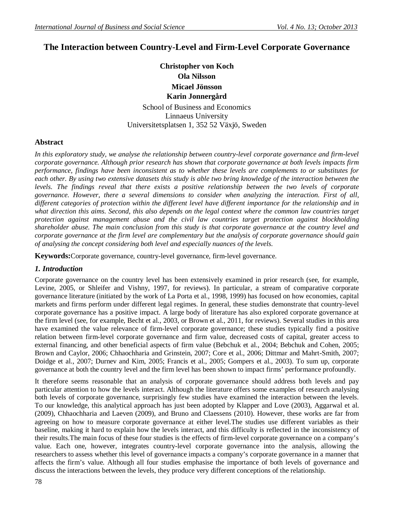# **The Interaction between Country-Level and Firm-Level Corporate Governance**

# **Christopher von Koch Ola Nilsson Micael Jönsson Karin Jonnergård**

School of Business and Economics Linnaeus University Universitetsplatsen 1, 352 52 Växjö, Sweden

## **Abstract**

In this exploratory study, we analyse the relationship between country-level corporate governance and firm-level *corporate governance. Although prior research has shown that corporate governance at both levels impacts firm performance, findings have been inconsistent as to whether these levels are complements to or substitutes for each other. By using two extensive datasets this study is able two bring knowledge of the interaction between the levels. The findings reveal that there exists a positive relationship between the two levels of corporate governance. However, there a several dimensions to consider when analyzing the interaction. First of all, different categories of protection within the different level have different importance for the relationship and in*  what direction this aims. Second, this also depends on the legal context where the common law countries target *protection against management abuse and the civil law countries target protection against blockholding shareholder abuse. The main conclusion from this study is that corporate governance at the country level and corporate governance at the firm level are complementary but the analysis of corporate governance should gain of analysing the concept considering both level and especially nuances of the levels.* 

**Keywords:**Corporate governance, country-level governance, firm-level governance.

## *1. Introduction*

Corporate governance on the country level has been extensively examined in prior research (see, for example, Levine, 2005, or Shleifer and Vishny, 1997, for reviews). In particular, a stream of comparative corporate governance literature (initiated by the work of La Porta et al., 1998, 1999) has focused on how economies, capital markets and firms perform under different legal regimes. In general, these studies demonstrate that country-level corporate governance has a positive impact. A large body of literature has also explored corporate governance at the firm level (see, for example, Becht et al., 2003, or Brown et al., 2011, for reviews). Several studies in this area have examined the value relevance of firm-level corporate governance; these studies typically find a positive relation between firm-level corporate governance and firm value, decreased costs of capital, greater access to external financing, and other beneficial aspects of firm value (Bebchuk et al., 2004; Bebchuk and Cohen, 2005; Brown and Caylor, 2006; Chhaochharia and Grinstein, 2007; Core et al., 2006; Dittmar and Mahrt-Smith, 2007; Doidge et al., 2007; Durnev and Kim, 2005; Francis et al., 2005; Gompers et al., 2003). To sum up, corporate governance at both the country level and the firm level has been shown to impact firms' performance profoundly.

It therefore seems reasonable that an analysis of corporate governance should address both levels and pay particular attention to how the levels interact. Although the literature offers some examples of research analysing both levels of corporate governance, surprisingly few studies have examined the interaction between the levels. To our knowledge, this analytical approach has just been adopted by Klapper and Love (2003), Aggarwal et al. (2009), Chhaochharia and Laeven (2009), and Bruno and Claessens (2010). However, these works are far from agreeing on how to measure corporate governance at either level.The studies use different variables as their baseline, making it hard to explain how the levels interact, and this difficulty is reflected in the inconsistency of their results.The main focus of these four studies is the effects of firm-level corporate governance on a company's value. Each one, however, integrates country-level corporate governance into the analysis, allowing the researchers to assess whether this level of governance impacts a company's corporate governance in a manner that affects the firm's value. Although all four studies emphasise the importance of both levels of governance and discuss the interactions between the levels, they produce very different conceptions of the relationship.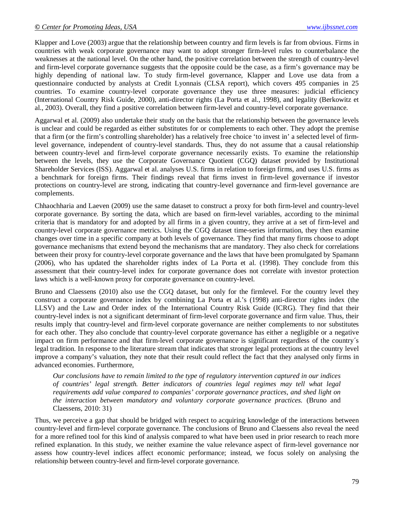Klapper and Love (2003) argue that the relationship between country and firm levels is far from obvious. Firms in countries with weak corporate governance may want to adopt stronger firm-level rules to counterbalance the weaknesses at the national level. On the other hand, the positive correlation between the strength of country-level and firm-level corporate governance suggests that the opposite could be the case, as a firm's governance may be highly depending of national law. To study firm-level governance, Klapper and Love use data from a questionnaire conducted by analysts at Credit Lyonnais (CLSA report), which covers 495 companies in 25 countries. To examine country-level corporate governance they use three measures: judicial efficiency (International Country Risk Guide, 2000), anti-director rights (La Porta et al., 1998), and legality (Berkowitz et al., 2003). Overall, they find a positive correlation between firm-level and country-level corporate governance.

Aggarwal et al. (2009) also undertake their study on the basis that the relationship between the governance levels is unclear and could be regarded as either substitutes for or complements to each other. They adopt the premise that a firm (or the firm's controlling shareholder) has a relatively free choice 'to invest in' a selected level of firmlevel governance, independent of country-level standards. Thus, they do not assume that a causal relationship between country-level and firm-level corporate governance necessarily exists. To examine the relationship between the levels, they use the Corporate Governance Quotient (CGQ) dataset provided by Institutional Shareholder Services (ISS). Aggarwal et al. analyses U.S. firms in relation to foreign firms, and uses U.S. firms as a benchmark for foreign firms. Their findings reveal that firms invest in firm-level governance if investor protections on country-level are strong, indicating that country-level governance and firm-level governance are complements.

Chhaochharia and Laeven (2009) use the same dataset to construct a proxy for both firm-level and country-level corporate governance. By sorting the data, which are based on firm-level variables, according to the minimal criteria that is mandatory for and adopted by all firms in a given country, they arrive at a set of firm-level and country-level corporate governance metrics. Using the CGQ dataset time-series information, they then examine changes over time in a specific company at both levels of governance. They find that many firms choose to adopt governance mechanisms that extend beyond the mechanisms that are mandatory. They also check for correlations between their proxy for country-level corporate governance and the laws that have been promulgated by Spamann (2006), who has updated the shareholder rights index of La Porta et al. (1998). They conclude from this assessment that their country-level index for corporate governance does not correlate with investor protection laws which is a well-known proxy for corporate governance on country-level.

Bruno and Claessens (2010) also use the CGQ dataset, but only for the firmlevel. For the country level they construct a corporate governance index by combining La Porta et al.'s (1998) anti-director rights index (the LLSV) and the Law and Order index of the International Country Risk Guide (ICRG). They find that their country-level index is not a significant determinant of firm-level corporate governance and firm value. Thus, their results imply that country-level and firm-level corporate governance are neither complements to nor substitutes for each other. They also conclude that country-level corporate governance has either a negligible or a negative impact on firm performance and that firm-level corporate governance is significant regardless of the country´s legal tradition. In response to the literature stream that indicates that stronger legal protections at the country level improve a company's valuation, they note that their result could reflect the fact that they analysed only firms in advanced economies. Furthermore,

*Our conclusions have to remain limited to the type of regulatory intervention captured in our indices of countries' legal strength. Better indicators of countries legal regimes may tell what legal requirements add value compared to companies' corporate governance practices, and shed light on the interaction between mandatory and voluntary corporate governance practices.* (Bruno and Claessens, 2010: 31)

Thus, we perceive a gap that should be bridged with respect to acquiring knowledge of the interactions between country-level and firm-level corporate governance. The conclusions of Bruno and Claessens also reveal the need for a more refined tool for this kind of analysis compared to what have been used in prior research to reach more refined explanation. In this study, we neither examine the value relevance aspect of firm-level governance nor assess how country-level indices affect economic performance; instead, we focus solely on analysing the relationship between country-level and firm-level corporate governance.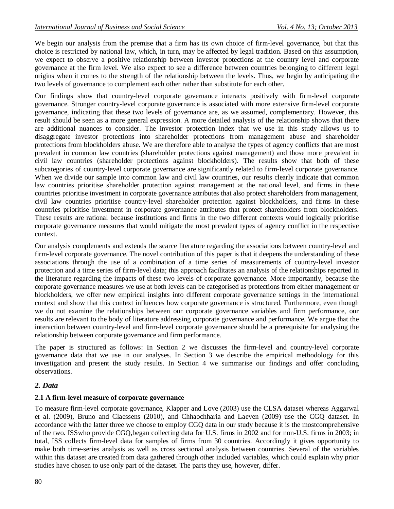We begin our analysis from the premise that a firm has its own choice of firm-level governance, but that this choice is restricted by national law, which, in turn, may be affected by legal tradition. Based on this assumption, we expect to observe a positive relationship between investor protections at the country level and corporate governance at the firm level. We also expect to see a difference between countries belonging to different legal origins when it comes to the strength of the relationship between the levels. Thus, we begin by anticipating the two levels of governance to complement each other rather than substitute for each other.

Our findings show that country-level corporate governance interacts positively with firm-level corporate governance. Stronger country-level corporate governance is associated with more extensive firm-level corporate governance, indicating that these two levels of governance are, as we assumed, complementary. However, this result should be seen as a more general expression. A more detailed analysis of the relationship shows that there are additional nuances to consider. The investor protection index that we use in this study allows us to disaggregate investor protections into shareholder protections from management abuse and shareholder protections from blockholders abuse. We are therefore able to analyse the types of agency conflicts that are most prevalent in common law countries (shareholder protections against management) and those more prevalent in civil law countries (shareholder protections against blockholders). The results show that both of these subcategories of country-level corporate governance are significantly related to firm-level corporate governance. When we divide our sample into common law and civil law countries, our results clearly indicate that common law countries prioritise shareholder protection against management at the national level, and firms in these countries prioritise investment in corporate governance attributes that also protect shareholders from management, civil law countries prioritise country-level shareholder protection against blockholders, and firms in these countries prioritise investment in corporate governance attributes that protect shareholders from blockholders. These results are rational because institutions and firms in the two different contexts would logically prioritise corporate governance measures that would mitigate the most prevalent types of agency conflict in the respective context.

Our analysis complements and extends the scarce literature regarding the associations between country-level and firm-level corporate governance. The novel contribution of this paper is that it deepens the understanding of these associations through the use of a combination of a time series of measurements of country-level investor protection and a time series of firm-level data; this approach facilitates an analysis of the relationships reported in the literature regarding the impacts of these two levels of corporate governance. More importantly, because the corporate governance measures we use at both levels can be categorised as protections from either management or blockholders, we offer new empirical insights into different corporate governance settings in the international context and show that this context influences how corporate governance is structured. Furthermore, even though we do not examine the relationships between our corporate governance variables and firm performance, our results are relevant to the body of literature addressing corporate governance and performance. We argue that the interaction between country-level and firm-level corporate governance should be a prerequisite for analysing the relationship between corporate governance and firm performance.

The paper is structured as follows: In Section 2 we discusses the firm-level and country-level corporate governance data that we use in our analyses. In Section 3 we describe the empirical methodology for this investigation and present the study results. In Section 4 we summarise our findings and offer concluding observations.

## *2. Data*

## **2.1 A firm-level measure of corporate governance**

To measure firm-level corporate governance, Klapper and Love (2003) use the CLSA dataset whereas Aggarwal et al. (2009), Bruno and Claessens (2010), and Chhaochharia and Laeven (2009) use the CGQ dataset. In accordance with the latter three we choose to employ CGQ data in our study because it is the mostcomprehensive of the two. ISSwho provide CGQ,began collecting data for U.S. firms in 2002 and for non-U.S. firms in 2003; in total, ISS collects firm-level data for samples of firms from 30 countries. Accordingly it gives opportunity to make both time-series analysis as well as cross sectional analysis between countries. Several of the variables within this dataset are created from data gathered through other included variables, which could explain why prior studies have chosen to use only part of the dataset. The parts they use, however, differ.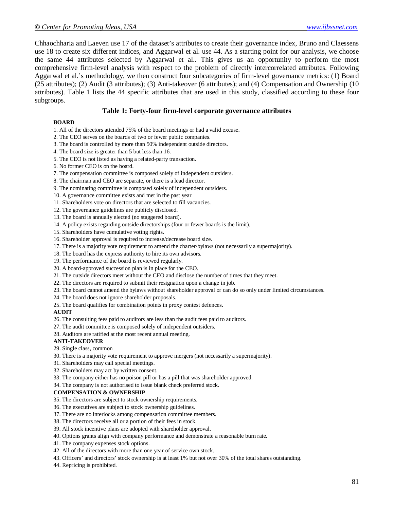Chhaochharia and Laeven use 17 of the dataset's attributes to create their governance index, Bruno and Claessens use 18 to create six different indices, and Aggarwal et al. use 44. As a starting point for our analysis, we choose the same 44 attributes selected by Aggarwal et al.. This gives us an opportunity to perform the most comprehensive firm-level analysis with respect to the problem of directly intercorrelated attributes. Following Aggarwal et al.'s methodology, we then construct four subcategories of firm-level governance metrics: (1) Board (25 attributes); (2) Audit (3 attributes); (3) Anti-takeover (6 attributes); and (4) Compensation and Ownership (10 attributes). Table 1 lists the 44 specific attributes that are used in this study, classified according to these four subgroups.

#### **Table 1: Forty-four firm-level corporate governance attributes**

#### **BOARD**

- 1. All of the directors attended 75% of the board meetings or had a valid excuse.
- 2. The CEO serves on the boards of two or fewer public companies.
- 3. The board is controlled by more than 50% independent outside directors.
- 4. The board size is greater than 5 but less than 16.
- 5. The CEO is not listed as having a related-party transaction.
- 6. No former CEO is on the board.
- 7. The compensation committee is composed solely of independent outsiders.
- 8. The chairman and CEO are separate, or there is a lead director.
- 9. The nominating committee is composed solely of independent outsiders.
- 10. A governance committee exists and met in the past year
- 11. Shareholders vote on directors that are selected to fill vacancies.
- 12. The governance guidelines are publicly disclosed.
- 13. The board is annually elected (no staggered board).
- 14. A policy exists regarding outside directorships (four or fewer boards is the limit).
- 15. Shareholders have cumulative voting rights.
- 16. Shareholder approval is required to increase/decrease board size.
- 17. There is a majority vote requirement to amend the charter/bylaws (not necessarily a supermajority).
- 18. The board has the express authority to hire its own advisors.
- 19. The performance of the board is reviewed regularly.
- 20. A board-approved succession plan is in place for the CEO.
- 21. The outside directors meet without the CEO and disclose the number of times that they meet.
- 22. The directors are required to submit their resignation upon a change in job.
- 23. The board cannot amend the bylaws without shareholder approval or can do so only under limited circumstances.
- 24. The board does not ignore shareholder proposals.
- 25. The board qualifies for combination points in proxy contest defences.

#### **AUDIT**

- 26. The consulting fees paid to auditors are less than the audit fees paid to auditors.
- 27. The audit committee is composed solely of independent outsiders.
- 28. Auditors are ratified at the most recent annual meeting.

#### **ANTI-TAKEOVER**

- 29. Single class, common
- 30. There is a majority vote requirement to approve mergers (not necessarily a supermajority).
- 31. Shareholders may call special meetings.
- 32. Shareholders may act by written consent.
- 33. The company either has no poison pill or has a pill that was shareholder approved.
- 34. The company is not authorised to issue blank check preferred stock.

#### **COMPENSATION & OWNERSHIP**

- 35. The directors are subject to stock ownership requirements.
- 36. The executives are subject to stock ownership guidelines.
- 37. There are no interlocks among compensation committee members.
- 38. The directors receive all or a portion of their fees in stock.
- 39. All stock incentive plans are adopted with shareholder approval.
- 40. Options grants align with company performance and demonstrate a reasonable burn rate.
- 41. The company expenses stock options.
- 42. All of the directors with more than one year of service own stock.
- 43. Officers' and directors' stock ownership is at least 1% but not over 30% of the total shares outstanding.
- 44. Repricing is prohibited.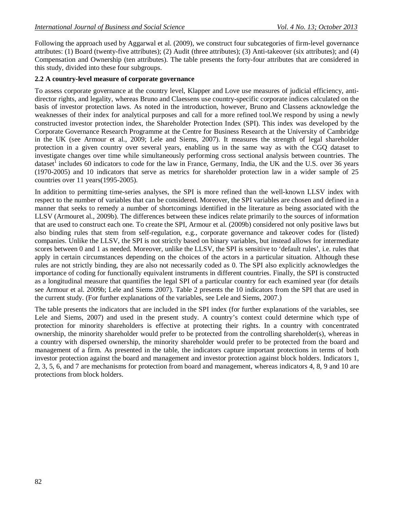Following the approach used by Aggarwal et al. (2009), we construct four subcategories of firm-level governance attributes: (1) Board (twenty-five attributes); (2) Audit (three attributes); (3) Anti-takeover (six attributes); and (4) Compensation and Ownership (ten attributes). The table presents the forty-four attributes that are considered in this study, divided into these four subgroups.

### **2.2 A country-level measure of corporate governance**

To assess corporate governance at the country level, Klapper and Love use measures of judicial efficiency, antidirector rights, and legality, whereas Bruno and Claessens use country-specific corporate indices calculated on the basis of investor protection laws. As noted in the introduction, however, Bruno and Classens acknowledge the weaknesses of their index for analytical purposes and call for a more refined tool.We respond by using a newly constructed investor protection index, the Shareholder Protection Index (SPI). This index was developed by the Corporate Governance Research Programme at the Centre for Business Research at the University of Cambridge in the UK (see Armour et al., 2009; Lele and Siems, 2007). It measures the strength of legal shareholder protection in a given country over several years, enabling us in the same way as with the CGQ dataset to investigate changes over time while simultaneously performing cross sectional analysis between countries. The dataset<sup>1</sup> includes 60 indicators to code for the law in France, Germany, India, the UK and the U.S. over 36 years (1970-2005) and 10 indicators that serve as metrics for shareholder protection law in a wider sample of 25 countries over 11 years(1995-2005).

In addition to permitting time-series analyses, the SPI is more refined than the well-known LLSV index with respect to the number of variables that can be considered. Moreover, the SPI variables are chosen and defined in a manner that seeks to remedy a number of shortcomings identified in the literature as being associated with the LLSV (Armouret al., 2009b). The differences between these indices relate primarily to the sources of information that are used to construct each one. To create the SPI, Armour et al. (2009b) considered not only positive laws but also binding rules that stem from self-regulation, e.g., corporate governance and takeover codes for (listed) companies. Unlike the LLSV, the SPI is not strictly based on binary variables, but instead allows for intermediate scores between 0 and 1 as needed. Moreover, unlike the LLSV, the SPI is sensitive to 'default rules', i.e. rules that apply in certain circumstances depending on the choices of the actors in a particular situation. Although these rules are not strictly binding, they are also not necessarily coded as 0. The SPI also explicitly acknowledges the importance of coding for functionally equivalent instruments in different countries. Finally, the SPI is constructed as a longitudinal measure that quantifies the legal SPI of a particular country for each examined year (for details see Armour et al. 2009b; Lele and Siems 2007). Table 2 presents the 10 indicators from the SPI that are used in the current study. (For further explanations of the variables, see Lele and Siems, 2007.)

The table presents the indicators that are included in the SPI index (for further explanations of the variables, see Lele and Siems, 2007) and used in the present study. A country's context could determine which type of protection for minority shareholders is effective at protecting their rights. In a country with concentrated ownership, the minority shareholder would prefer to be protected from the controlling shareholder(s), whereas in a country with dispersed ownership, the minority shareholder would prefer to be protected from the board and management of a firm. As presented in the table, the indicators capture important protections in terms of both investor protection against the board and management and investor protection against block holders. Indicators 1, 2, 3, 5, 6, and 7 are mechanisms for protection from board and management, whereas indicators 4, 8, 9 and 10 are protections from block holders.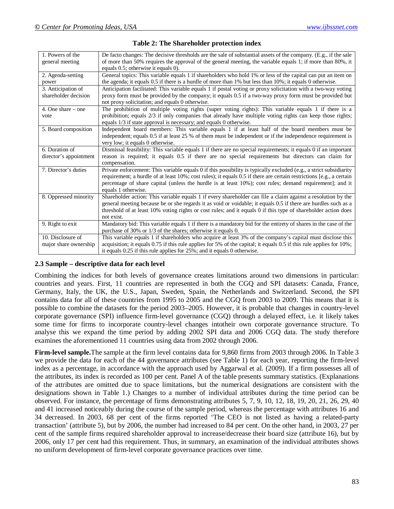| 1. Powers of the       | De facto changes: The decisive thresholds are the sale of substantial assets of the company. (E.g., if the sale      |
|------------------------|----------------------------------------------------------------------------------------------------------------------|
| general meeting        | of more than 50% requires the approval of the general meeting, the variable equals 1; if more than 80%, it           |
|                        | equals 0.5; otherwise it equals 0).                                                                                  |
| 2. Agenda-setting      | General topics: This variable equals 1 if shareholders who hold 1% or less of the capital can put an item on         |
| power                  | the agenda; it equals $0.5$ if there is a hurdle of more than $1\%$ but less than $10\%$ ; it equals 0 otherwise.    |
| 3. Anticipation of     | Anticipation facilitated: This variable equals 1 if postal voting or proxy solicitation with a two-way voting        |
| shareholder decision   | proxy form must be provided by the company; it equals 0.5 if a two-way proxy form must be provided but               |
|                        | not proxy solicitation; and equals 0 otherwise.                                                                      |
| 4. One share $-$ one   | The prohibition of multiple voting rights (super voting rights): This variable equals 1 if there is a                |
| vote                   | prohibition; equals 2/3 if only companies that already have multiple voting rights can keep those rights;            |
|                        | equals 1/3 if state approval is necessary; and equals 0 otherwise.                                                   |
| 5. Board composition   | Independent board members: This variable equals 1 if at least half of the board members must be                      |
|                        | independent; equals 0.5 if at least 25 % of them must be independent or if the independence requirement is           |
|                        | very low; it equals 0 otherwise.                                                                                     |
| 6. Duration of         | Dismissal feasibility: This variable equals 1 if there are no special requirements; it equals 0 if an important      |
| director's appointment | reason is required; it equals 0.5 if there are no special requirements but directors can claim for                   |
|                        | compensation.                                                                                                        |
| 7. Director's duties   | Private enforcement: This variable equals 0 if this possibility is typically excluded (e.g., a strict subsidiarity   |
|                        | requirement; a hurdle of at least 10%; cost rules); it equals 0.5 if there are certain restrictions [e.g., a certain |
|                        | percentage of share capital (unless the hurdle is at least 10%); cost rules; demand requirement]; and it             |
|                        | equals 1 otherwise.                                                                                                  |
| 8. Oppressed minority  | Shareholder action: This variable equals 1 if every shareholder can file a claim against a resolution by the         |
|                        | general meeting because he or she regards it as void or voidable; it equals 0.5 if there are hurdles such as a       |
|                        | threshold of at least 10% voting rights or cost rules; and it equals 0 if this type of shareholder action does       |
|                        | not exist.                                                                                                           |
| 9. Right to exit       | Mandatory bid: This variable equals 1 if there is a mandatory bid for the entirety of shares in the case of the      |
|                        | purchase of 30% or 1/3 of the shares; otherwise it equals 0.                                                         |
| 10. Disclosure of      | This variable equals 1 if shareholders who acquire at least 3% of the company's capital must disclose this           |
| major share ownership  | acquisition; it equals 0.75 if this rule applies for 5% of the capital; it equals 0.5 if this rule applies for 10%;  |
|                        | it equals 0.25 if this rule applies for 25%; and it equals 0 otherwise.                                              |

| <b>Table 2: The Shareholder protection index</b> |  |
|--------------------------------------------------|--|
|--------------------------------------------------|--|

### **2.3 Sample – descriptive data for each level**

Combining the indices for both levels of governance creates limitations around two dimensions in particular: countries and years. First, 11 countries are represented in both the CGQ and SPI datasets: Canada, France, Germany, Italy, the UK, the U.S., Japan, Sweden, Spain, the Netherlands and Switzerland. Second, the SPI contains data for all of these countries from 1995 to 2005 and the CGQ from 2003 to 2009. This means that it is possible to combine the datasets for the period 2003–2005. However, it is probable that changes in country-level corporate governance (SPI) influence firm-level governance (CGQ) through a delayed effect, i.e. it likely takes some time for firms to incorporate country-level changes intotheir own corporate governance structure. To analyse this we expand the time period by adding 2002 SPI data and 2006 CGQ data. The study therefore examines the aforementioned 11 countries using data from 2002 through 2006.

**Firm-level sample.**The sample at the firm level contains data for 9,860 firms from 2003 through 2006. In Table 3 we provide the data for each of the 44 governance attributes (see Table 1) for each year, reporting the firm-level index as a percentage, in accordance with the approach used by Aggarwal et al. (2009). If a firm possesses all of the attributes, its index is recorded as 100 per cent. Panel A of the table presents summary statistics. (Explanations of the attributes are omitted due to space limitations, but the numerical designations are consistent with the designations shown in Table 1.) Changes to a number of individual attributes during the time period can be observed. For instance, the percentage of firms demonstrating attributes 5, 7, 9, 10, 12, 18, 19, 20, 21, 26, 29, 40 and 41 increased noticeably during the course of the sample period, whereas the percentage with attributes 16 and 34 decreased. In 2003, 68 per cent of the firms reported 'The CEO is not listed as having a related-party transaction' (attribute 5), but by 2006, the number had increased to 84 per cent. On the other hand, in 2003, 27 per cent of the sample firms required shareholder approval to increase/decrease their board size (attribute 16), but by 2006, only 17 per cent had this requirement. Thus, in summary, an examination of the individual attributes shows no uniform development of firm-level corporate governance practices over time.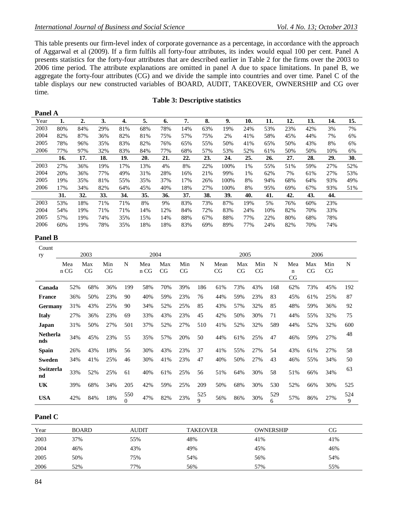This table presents our firm-level index of corporate governance as a percentage, in accordance with the approach of Aggarwal et al (2009). If a firm fulfils all forty-four attributes, its index would equal 100 per cent. Panel A presents statistics for the forty-four attributes that are described earlier in Table 2 for the firms over the 2003 to 2006 time period. The attribute explanations are omitted in panel A due to space limitations. In panel B, we aggregate the forty-four attributes (CG) and we divide the sample into countries and over time. Panel C of the table displays our new constructed variables of BOARD, AUDIT, TAKEOVER, OWNERSHIP and CG over time.

### **Table 3: Descriptive statistics**

| <b>Panel A</b> |     |     |     |     |     |     |     |     |      |     |     |     |     |     |     |
|----------------|-----|-----|-----|-----|-----|-----|-----|-----|------|-----|-----|-----|-----|-----|-----|
| Year           | 1.  | 2.  | 3.  | 4.  | 5.  | 6.  | 7.  | 8.  | 9.   | 10. | 11. | 12. | 13. | 14. | 15. |
| 2003           | 80% | 84% | 29% | 81% | 68% | 78% | 14% | 63% | 19%  | 24% | 53% | 23% | 42% | 3%  | 7%  |
| 2004           | 82% | 87% | 36% | 82% | 81% | 75% | 57% | 75% | 2%   | 41% | 58% | 45% | 44% | 7%  | 6%  |
| 2005           | 78% | 96% | 35% | 83% | 82% | 76% | 65% | 55% | 50%  | 41% | 65% | 50% | 43% | 8%  | 6%  |
| 2006           | 77% | 97% | 32% | 83% | 84% | 77% | 68% | 57% | 53%  | 52% | 61% | 50% | 50% | 10% | 6%  |
|                | 16. | 17. | 18. | 19. | 20. | 21. | 22. | 23. | 24.  | 25. | 26. | 27. | 28. | 29. | 30. |
| 2003           | 27% | 36% | 19% | 17% | 13% | 4%  | 8%  | 22% | 100% | 1%  | 55% | 51% | 59% | 27% | 52% |
| 2004           | 20% | 36% | 77% | 49% | 31% | 28% | 16% | 21% | 99%  | 1%  | 62% | 7%  | 61% | 27% | 53% |
| 2005           | 19% | 35% | 81% | 55% | 35% | 37% | 17% | 26% | 100% | 8%  | 94% | 68% | 64% | 93% | 49% |
| 2006           | 17% | 34% | 82% | 64% | 45% | 40% | 18% | 27% | 100% | 8%  | 95% | 69% | 67% | 93% | 51% |
|                | 31. | 32. | 33. | 34. | 35. | 36. | 37. | 38. | 39.  | 40. | 41. | 42. | 43. | 44. |     |
| 2003           | 53% | 18% | 71% | 71% | 8%  | 9%  | 83% | 73% | 87%  | 19% | 5%  | 76% | 60% | 23% |     |
| 2004           | 54% | 19% | 71% | 71% | 14% | 12% | 84% | 72% | 83%  | 24% | 10% | 82% | 70% | 33% |     |
| 2005           | 57% | 19% | 74% | 35% | 15% | 14% | 88% | 67% | 88%  | 77% | 22% | 80% | 68% | 78% |     |
| 2006           | 60% | 19% | 78% | 35% | 18% | 18% | 83% | 69% | 89%  | 77% | 24% | 82% | 70% | 74% |     |

#### **Panel B**

| Count<br><b>ry</b>     |             | 2003      |           |                 | 2004        |           |           |          |            | 2005      |           |          |                | 2006      |           |          |
|------------------------|-------------|-----------|-----------|-----------------|-------------|-----------|-----------|----------|------------|-----------|-----------|----------|----------------|-----------|-----------|----------|
|                        | Mea<br>n CG | Max<br>CG | Min<br>CG | N               | Mea<br>n CG | Max<br>CG | Min<br>CG | N        | Mean<br>CG | Max<br>CG | Min<br>CG | N        | Mea<br>n<br>CG | Max<br>CG | Min<br>CG | N        |
| Canada                 | 52%         | 68%       | 36%       | 199             | 58%         | 70%       | 39%       | 186      | 61%        | 73%       | 43%       | 168      | 62%            | 73%       | 45%       | 192      |
| <b>France</b>          | 36%         | 50%       | 23%       | 90              | 40%         | 59%       | 23%       | 76       | 44%        | 59%       | 23%       | 83       | 45%            | 61%       | 25%       | 87       |
| Germany                | 31%         | 43%       | 25%       | 90              | 34%         | 52%       | 25%       | 85       | 43%        | 57%       | 32%       | 85       | 48%            | 59%       | 36%       | 92       |
| <b>Italy</b>           | 27%         | 36%       | 23%       | 69              | 33%         | 43%       | 23%       | 45       | 42%        | 50%       | 30%       | 71       | 44%            | 55%       | 32%       | 75       |
| Japan                  | 31%         | 50%       | 27%       | 501             | 37%         | 52%       | 27%       | 510      | 41%        | 52%       | 32%       | 589      | 44%            | 52%       | 32%       | 600      |
| <b>Netherla</b><br>nds | 34%         | 45%       | 23%       | 55              | 35%         | 57%       | 20%       | 50       | 44%        | 61%       | 25%       | 47       | 46%            | 59%       | 27%       | 48       |
| <b>Spain</b>           | 26%         | 43%       | 18%       | 56              | 30%         | 43%       | 23%       | 37       | 41%        | 55%       | 27%       | 54       | 43%            | 61%       | 27%       | 58       |
| Sweden                 | 34%         | 41%       | 25%       | 46              | 30%         | 41%       | 23%       | 47       | 40%        | 50%       | 27%       | 43       | 46%            | 55%       | 34%       | 50       |
| Switzerla<br>nd        | 33%         | 52%       | 25%       | 61              | 40%         | 61%       | 25%       | 56       | 51%        | 64%       | 30%       | 58       | 51%            | 66%       | 34%       | 63       |
| UK                     | 39%         | 68%       | 34%       | 205             | 42%         | 59%       | 25%       | 209      | 50%        | 68%       | 30%       | 530      | 52%            | 66%       | 30%       | 525      |
| <b>USA</b>             | 42%         | 84%       | 18%       | 550<br>$\Omega$ | 47%         | 82%       | 23%       | 525<br>Q | 56%        | 86%       | 30%       | 529<br>6 | 57%            | 86%       | 27%       | 524<br>9 |

### **Panel C**

| Year | <b>BOARD</b> | AUDIT | <b>TAKEOVER</b> | OWNERSHIP | CG  |
|------|--------------|-------|-----------------|-----------|-----|
| 2003 | 37%          | 55%   | 48%             | 41%       | 41% |
| 2004 | 46%          | 43%   | 49%             | 45%       | 46% |
| 2005 | 50%          | 75%   | 54%             | 56%       | 54% |
| 2006 | 52%          | 77%   | 56%             | 57%       | 55% |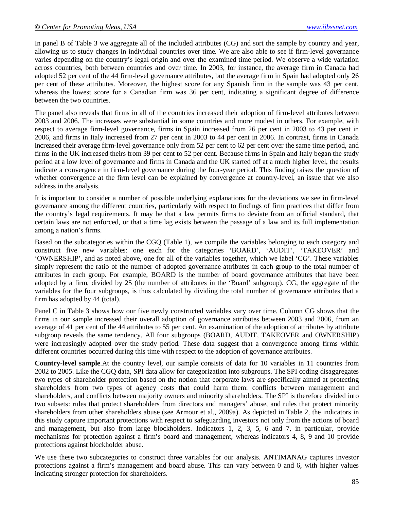In panel B of Table 3 we aggregate all of the included attributes (CG) and sort the sample by country and year, allowing us to study changes in individual countries over time. We are also able to see if firm-level governance varies depending on the country's legal origin and over the examined time period. We observe a wide variation across countries, both between countries and over time. In 2003, for instance, the average firm in Canada had adopted 52 per cent of the 44 firm-level governance attributes, but the average firm in Spain had adopted only 26 per cent of these attributes. Moreover, the highest score for any Spanish firm in the sample was 43 per cent, whereas the lowest score for a Canadian firm was 36 per cent, indicating a significant degree of difference between the two countries.

The panel also reveals that firms in all of the countries increased their adoption of firm-level attributes between 2003 and 2006. The increases were substantial in some countries and more modest in others. For example, with respect to average firm-level governance, firms in Spain increased from 26 per cent in 2003 to 43 per cent in 2006, and firms in Italy increased from 27 per cent in 2003 to 44 per cent in 2006. In contrast, firms in Canada increased their average firm-level governance only from 52 per cent to 62 per cent over the same time period, and firms in the UK increased theirs from 39 per cent to 52 per cent. Because firms in Spain and Italy began the study period at a low level of governance and firms in Canada and the UK started off at a much higher level, the results indicate a convergence in firm-level governance during the four-year period. This finding raises the question of whether convergence at the firm level can be explained by convergence at country-level, an issue that we also address in the analysis.

It is important to consider a number of possible underlying explanations for the deviations we see in firm-level governance among the different countries, particularly with respect to findings of firm practices that differ from the country's legal requirements. It may be that a law permits firms to deviate from an official standard, that certain laws are not enforced, or that a time lag exists between the passage of a law and its full implementation among a nation's firms.

Based on the subcategories within the CGQ (Table 1), we compile the variables belonging to each category and construct five new variables: one each for the categories 'BOARD', 'AUDIT', 'TAKEOVER' and 'OWNERSHIP', and as noted above, one for all of the variables together, which we label 'CG'. These variables simply represent the ratio of the number of adopted governance attributes in each group to the total number of attributes in each group. For example, BOARD is the number of board governance attributes that have been adopted by a firm, divided by 25 (the number of attributes in the 'Board' subgroup). CG, the aggregate of the variables for the four subgroups, is thus calculated by dividing the total number of governance attributes that a firm has adopted by 44 (total).

Panel C in Table 3 shows how our five newly constructed variables vary over time. Column CG shows that the firms in our sample increased their overall adoption of governance attributes between 2003 and 2006, from an average of 41 per cent of the 44 attributes to 55 per cent. An examination of the adoption of attributes by attribute subgroup reveals the same tendency. All four subgroups (BOARD, AUDIT, TAKEOVER and OWNERSHIP) were increasingly adopted over the study period. These data suggest that a convergence among firms within different countries occurred during this time with respect to the adoption of governance attributes.

**Country-level sample**.At the country level, our sample consists of data for 10 variables in 11 countries from 2002 to 2005. Like the CGQ data, SPI data allow for categorization into subgroups. The SPI coding disaggregates two types of shareholder protection based on the notion that corporate laws are specifically aimed at protecting shareholders from two types of agency costs that could harm them: conflicts between management and shareholders, and conflicts between majority owners and minority shareholders. The SPI is therefore divided into two subsets: rules that protect shareholders from directors and managers' abuse, and rules that protect minority shareholders from other shareholders abuse (see Armour et al., 2009a). As depicted in Table 2, the indicators in this study capture important protections with respect to safeguarding investors not only from the actions of board and management, but also from large blockholders. Indicators 1, 2, 3, 5, 6 and 7, in particular, provide mechanisms for protection against a firm's board and management, whereas indicators 4, 8, 9 and 10 provide protections against blockholder abuse.

We use these two subcategories to construct three variables for our analysis. ANTIMANAG captures investor protections against a firm's management and board abuse. This can vary between 0 and 6, with higher values indicating stronger protection for shareholders.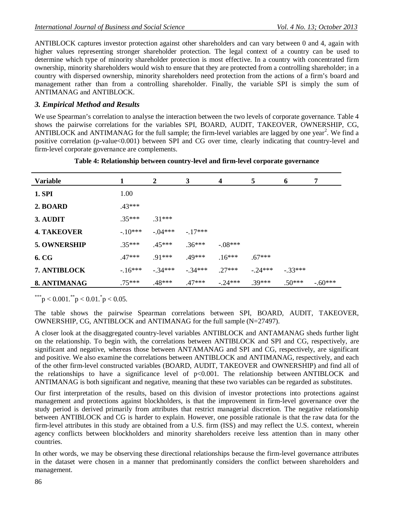ANTIBLOCK captures investor protection against other shareholders and can vary between 0 and 4, again with higher values representing stronger shareholder protection. The legal context of a country can be used to determine which type of minority shareholder protection is most effective. In a country with concentrated firm ownership, minority shareholders would wish to ensure that they are protected from a controlling shareholder; in a country with dispersed ownership, minority shareholders need protection from the actions of a firm's board and management rather than from a controlling shareholder. Finally, the variable SPI is simply the sum of ANTIMANAG and ANTIBLOCK.

# *3. Empirical Method and Results*

We use Spearman's correlation to analyse the interaction between the two levels of corporate governance. Table 4 shows the pairwise correlations for the variables SPI, BOARD, AUDIT, TAKEOVER, OWNERSHIP, CG, ANTIBLOCK and ANTIMANAG for the full sample; the firm-level variables are lagged by one year<sup>2</sup>. We find a positive correlation (p-value<0.001) between SPI and CG over time, clearly indicating that country-level and firm-level corporate governance are complements.

| <b>Variable</b>    | 1        | 2        | 3          | 4         | 5        | 6          | 7        |
|--------------------|----------|----------|------------|-----------|----------|------------|----------|
| <b>1. SPI</b>      | 1.00     |          |            |           |          |            |          |
| 2. BOARD           | $.43***$ |          |            |           |          |            |          |
| 3. AUDIT           | $.35***$ | $.31***$ |            |           |          |            |          |
| <b>4. TAKEOVER</b> | $-10***$ | $-04***$ | $-17***$   |           |          |            |          |
| 5. OWNERSHIP       | $.35***$ | $.45***$ | $.36***$   | $-.08***$ |          |            |          |
| 6. CG              | $.47***$ | $.91***$ | $.49***$   | $.16***$  | $.67***$ |            |          |
| 7. ANTIBLOCK       | $-16***$ | $-34***$ | $-0.34***$ | $.27***$  | $-24***$ | $-0.33***$ |          |
| 8. ANTIMANAG       | $75***$  | .48***   | $.47***$   | $-24***$  | $39***$  | $.50***$   | $-60***$ |

**Table 4: Relationship between country-level and firm-level corporate governance**

\*\*\*p < 0.001.\*\*p < 0.01.\*p < 0.05.

The table shows the pairwise Spearman correlations between SPI, BOARD, AUDIT, TAKEOVER, OWNERSHIP, CG, ANTIBLOCK and ANTIMANAG for the full sample (N=27497).

A closer look at the disaggregated country-level variables ANTIBLOCK and ANTAMANAG sheds further light on the relationship. To begin with, the correlations between ANTIBLOCK and SPI and CG, respectively, are significant and negative, whereas those between ANTAMANAG and SPI and CG, respectively, are significant and positive. We also examine the correlations between ANTIBLOCK and ANTIMANAG, respectively, and each of the other firm-level constructed variables (BOARD, AUDIT, TAKEOVER and OWNERSHIP) and find all of the relationships to have a significance level of p<0.001. The relationship between ANTIBLOCK and ANTIMANAG is both significant and negative, meaning that these two variables can be regarded as substitutes.

Our first interpretation of the results, based on this division of investor protections into protections against management and protections against blockholders, is that the improvement in firm-level governance over the study period is derived primarily from attributes that restrict managerial discretion. The negative relationship between ANTIBLOCK and CG is harder to explain. However, one possible rationale is that the raw data for the firm-level attributes in this study are obtained from a U.S. firm (ISS) and may reflect the U.S. context, wherein agency conflicts between blockholders and minority shareholders receive less attention than in many other countries.

In other words, we may be observing these directional relationships because the firm-level governance attributes in the dataset were chosen in a manner that predominantly considers the conflict between shareholders and management.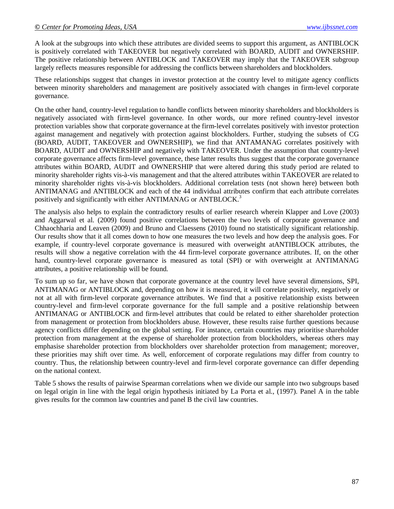A look at the subgroups into which these attributes are divided seems to support this argument, as ANTIBLOCK is positively correlated with TAKEOVER but negatively correlated with BOARD, AUDIT and OWNERSHIP. The positive relationship between ANTIBLOCK and TAKEOVER may imply that the TAKEOVER subgroup largely reflects measures responsible for addressing the conflicts between shareholders and blockholders.

These relationships suggest that changes in investor protection at the country level to mitigate agency conflicts between minority shareholders and management are positively associated with changes in firm-level corporate governance.

On the other hand, country-level regulation to handle conflicts between minority shareholders and blockholders is negatively associated with firm-level governance. In other words, our more refined country-level investor protection variables show that corporate governance at the firm-level correlates positively with investor protection against management and negatively with protection against blockholders. Further, studying the subsets of CG (BOARD, AUDIT, TAKEOVER and OWNERSHIP), we find that ANTAMANAG correlates positively with BOARD, AUDIT and OWNERSHIP and negatively with TAKEOVER. Under the assumption that country-level corporate governance affects firm-level governance, these latter results thus suggest that the corporate governance attributes within BOARD, AUDIT and OWNERSHIP that were altered during this study period are related to minority shareholder rights vis-à-vis management and that the altered attributes within TAKEOVER are related to minority shareholder rights vis-à-vis blockholders. Additional correlation tests (not shown here) between both ANTIMANAG and ANTIBLOCK and each of the 44 individual attributes confirm that each attribute correlates positively and significantly with either ANTIMANAG or ANTBLOCK.<sup>3</sup>

The analysis also helps to explain the contradictory results of earlier research wherein Klapper and Love (2003) and Aggarwal et al. (2009) found positive correlations between the two levels of corporate governance and Chhaochharia and Leaven (2009) and Bruno and Claessens (2010) found no statistically significant relationship. Our results show that it all comes down to how one measures the two levels and how deep the analysis goes. For example, if country-level corporate governance is measured with overweight atANTIBLOCK attributes, the results will show a negative correlation with the 44 firm-level corporate governance attributes. If, on the other hand, country-level corporate governance is measured as total (SPI) or with overweight at ANTIMANAG attributes, a positive relationship will be found.

To sum up so far, we have shown that corporate governance at the country level have several dimensions, SPI, ANTIMANAG or ANTIBLOCK and, depending on how it is measured, it will correlate positively, negatively or not at all with firm-level corporate governance attributes. We find that a positive relationship exists between country-level and firm-level corporate governance for the full sample and a positive relationship between ANTIMANAG or ANTIBLOCK and firm-level attributes that could be related to either shareholder protection from management or protection from blockholders abuse. However, these results raise further questions because agency conflicts differ depending on the global setting. For instance, certain countries may prioritise shareholder protection from management at the expense of shareholder protection from blockholders, whereas others may emphasise shareholder protection from blockholders over shareholder protection from management; moreover, these priorities may shift over time. As well, enforcement of corporate regulations may differ from country to country. Thus, the relationship between country-level and firm-level corporate governance can differ depending on the national context.

Table 5 shows the results of pairwise Spearman correlations when we divide our sample into two subgroups based on legal origin in line with the legal origin hypothesis initiated by La Porta et al., (1997). Panel A in the table gives results for the common law countries and panel B the civil law countries.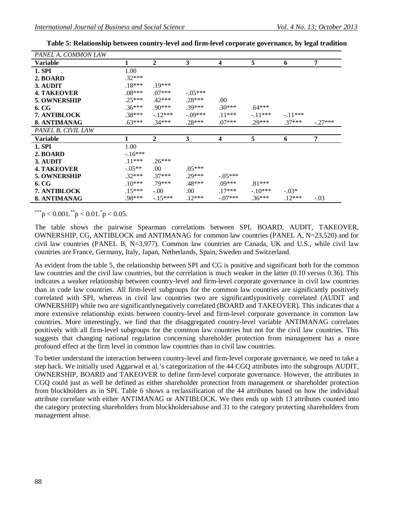| PANEL A, COMMON LAW |          |              |              |                         |           |           |                |
|---------------------|----------|--------------|--------------|-------------------------|-----------|-----------|----------------|
| Variable            |          | $\mathbf{2}$ | 3            | $\overline{\mathbf{4}}$ | 5         | 6         | $\overline{7}$ |
| 1. SPI              | 1.00     |              |              |                         |           |           |                |
| 2. BOARD            | $.32***$ |              |              |                         |           |           |                |
| 3. AUDIT            | $.18***$ | $.19***$     |              |                         |           |           |                |
| <b>4. TAKEOVER</b>  | $.08***$ | $.07***$     | $-.05***$    |                         |           |           |                |
| 5. OWNERSHIP        | $.25***$ | $.42***$     | $.28***$     | .00.                    |           |           |                |
| 6. CG               | $.36***$ | $.90***$     | $.39***$     | $.30***$                | $.64***$  |           |                |
| 7. ANTIBLOCK        | $.38***$ | $-12***$     | $-.09***$    | $.11***$                | $-.11***$ | $-.11***$ |                |
| 8. ANTIMANAG        | $.63***$ | $.34***$     | $.28***$     | $.07***$                | $.29***$  | $.37***$  | $-.27***$      |
| PANEL B, CIVIL LAW  |          |              |              |                         |           |           |                |
|                     |          |              |              |                         |           |           |                |
| <b>Variable</b>     |          | $\mathbf{2}$ | $\mathbf{3}$ | 4                       | 5         | 6         | 7              |
| 1. SPI              | 1.00     |              |              |                         |           |           |                |
| 2. BOARD            | $-16***$ |              |              |                         |           |           |                |
| 3. AUDIT            | $.11***$ | $.26***$     |              |                         |           |           |                |
| <b>4. TAKEOVER</b>  | $-.05**$ | .00          | $.05***$     |                         |           |           |                |
| 5. OWNERSHIP        | $.32***$ | $.37***$     | $.29***$     | $-.05***$               |           |           |                |
| 6. CG               | $.10***$ | $.79***$     | .48***       | $.09***$                | $.81***$  |           |                |
| 7. ANTIBLOCK        | $.15***$ | $-.00.$      | .00.         | $.17***$                | $-.10***$ | $-.03*$   |                |

**Table 5: Relationship between country-level and firm-level corporate governance, by legal tradition**

\*\*\*p < 0.001.\*\*p < 0.01.\*p < 0.05.

The table shows the pairwise Spearman correlations between SPI, BOARD, AUDIT, TAKEOVER, OWNERSHIP, CG, ANTIBLOCK and ANTIMANAG for common law countries (PANEL A, N=23,520) and for civil law countries (PANEL B, N=3,977). Common law countries are Canada, UK and U.S., while civil law countries are France, Germany, Italy, Japan, Netherlands, Spain, Sweden and Switzerland.

As evident from the table 5, the relationship between SPI and CG is positive and significant both for the common law countries and the civil law countries, but the correlation is much weaker in the latter (0.10 versus 0.36). This indicates a weaker relationship between country-level and firm-level corporate governance in civil law countries than in code law countries. All firm-level subgroups for the common law countries are significantly positively correlated with SPI, whereas in civil law countries two are significantlypositively correlated (AUDIT and OWNERSHIP) while two are significantlynegatively correlated (BOARD and TAKEOVER). This indicates that a more extensive relationship exists between country-level and firm-level corporate governance in common law countries. More interestingly, we find that the disaggregated country-level variable ANTIMANAG correlates positively with all firm-level subgroups for the common law countries but not for the civil law countries. This suggests that changing national regulation concerning shareholder protection from management has a more profound effect at the firm level in common law countries than in civil law countries.

To better understand the interaction between country-level and firm-level corporate governance, we need to take a step back. We initially used Aggarwal et al.'s categorization of the 44 CGQ attributes into the subgroups AUDIT, OWNERSHIP, BOARD and TAKEOVER to define firm-level corporate governance. However, the attributes in CGQ could just as well be defined as either shareholder protection from management or shareholder protection from blockholders as in SPI. Table 6 shows a reclassification of the 44 attributes based on how the individual attribute correlate with either ANTIMANAG or ANTIBLOCK. We then ends up with 13 attributes counted into the category protecting shareholders from blockholdersabuse and 31 to the category protecting shareholders from management abuse.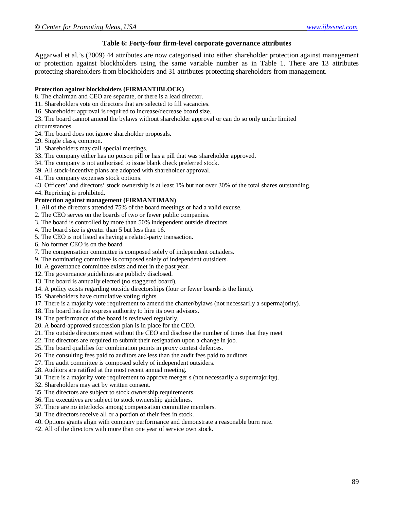#### **Table 6: Forty-four firm-level corporate governance attributes**

Aggarwal et al.'s (2009) 44 attributes are now categorised into either shareholder protection against management or protection against blockholders using the same variable number as in Table 1. There are 13 attributes protecting shareholders from blockholders and 31 attributes protecting shareholders from management.

#### **Protection against blockholders (FIRMANTIBLOCK)**

8. The chairman and CEO are separate, or there is a lead director.

- 11. Shareholders vote on directors that are selected to fill vacancies.
- 16. Shareholder approval is required to increase/decrease board size.
- 23. The board cannot amend the bylaws without shareholder approval or can do so only under limited

circumstances.

- 24. The board does not ignore shareholder proposals.
- 29. Single class, common.
- 31. Shareholders may call special meetings.
- 33. The company either has no poison pill or has a pill that was shareholder approved.
- 34. The company is not authorised to issue blank check preferred stock.
- 39. All stock-incentive plans are adopted with shareholder approval.
- 41. The company expenses stock options.

43. Officers' and directors' stock ownership is at least 1% but not over 30% of the total shares outstanding.

44. Repricing is prohibited.

#### **Protection against management (FIRMANTIMAN)**

- 1. All of the directors attended 75% of the board meetings or had a valid excuse.
- 2. The CEO serves on the boards of two or fewer public companies.
- 3. The board is controlled by more than 50% independent outside directors.
- 4. The board size is greater than 5 but less than 16.
- 5. The CEO is not listed as having a related-party transaction.
- 6. No former CEO is on the board.
- 7. The compensation committee is composed solely of independent outsiders.
- 9. The nominating committee is composed solely of independent outsiders.
- 10. A governance committee exists and met in the past year.
- 12. The governance guidelines are publicly disclosed.
- 13. The board is annually elected (no staggered board).
- 14. A policy exists regarding outside directorships (four or fewer boards is the limit).
- 15. Shareholders have cumulative voting rights.
- 17. There is a majority vote requirement to amend the charter/bylaws (not necessarily a supermajority).
- 18. The board has the express authority to hire its own advisors.
- 19. The performance of the board is reviewed regularly.
- 20. A board-approved succession plan is in place for the CEO.
- 21. The outside directors meet without the CEO and disclose the number of times that they meet
- 22. The directors are required to submit their resignation upon a change in job.
- 25. The board qualifies for combination points in proxy contest defences.
- 26. The consulting fees paid to auditors are less than the audit fees paid to auditors.
- 27. The audit committee is composed solely of independent outsiders.
- 28. Auditors are ratified at the most recent annual meeting.
- 30. There is a majority vote requirement to approve merger s (not necessarily a supermajority).
- 32. Shareholders may act by written consent.
- 35. The directors are subject to stock ownership requirements.
- 36. The executives are subject to stock ownership guidelines.
- 37. There are no interlocks among compensation committee members.
- 38. The directors receive all or a portion of their fees in stock.
- 40. Options grants align with company performance and demonstrate a reasonable burn rate.
- 42. All of the directors with more than one year of service own stock.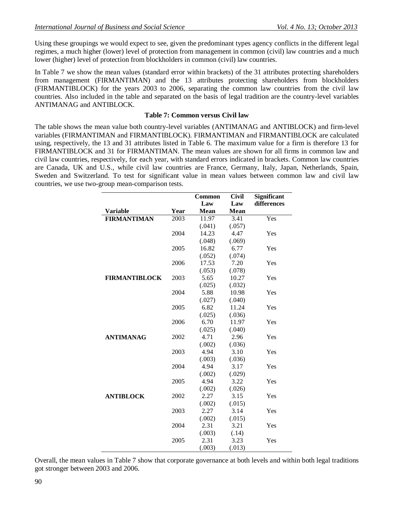Using these groupings we would expect to see, given the predominant types agency conflicts in the different legal regimes, a much higher (lower) level of protection from management in common (civil) law countries and a much lower (higher) level of protection from blockholders in common (civil) law countries.

In Table 7 we show the mean values (standard error within brackets) of the 31 attributes protecting shareholders from management (FIRMANTIMAN) and the 13 attributes protecting shareholders from blockholders (FIRMANTIBLOCK) for the years 2003 to 2006, separating the common law countries from the civil law countries. Also included in the table and separated on the basis of legal tradition are the country-level variables ANTIMANAG and ANTIBLOCK.

### **Table 7: Common versus Civil law**

The table shows the mean value both country-level variables (ANTIMANAG and ANTIBLOCK) and firm-level variables (FIRMANTIMAN and FIRMANTIBLOCK). FIRMANTIMAN and FIRMANTIBLOCK are calculated using, respectively, the 13 and 31 attributes listed in Table 6. The maximum value for a firm is therefore 13 for FIRMANTIBLOCK and 31 for FIRMANTIMAN. The mean values are shown for all firms in common law and civil law countries, respectively, for each year, with standard errors indicated in brackets. Common law countries are Canada, UK and U.S., while civil law countries are France, Germany, Italy, Japan, Netherlands, Spain, Sweden and Switzerland. To test for significant value in mean values between common law and civil law countries, we use two-group mean-comparison tests.

|                      |      | <b>Common</b> | <b>Civil</b> | <b>Significant</b> |
|----------------------|------|---------------|--------------|--------------------|
|                      |      | Law           | Law          | differences        |
| <b>Variable</b>      | Year | Mean          | Mean         |                    |
| <b>FIRMANTIMAN</b>   | 2003 | 11.97         | 3.41         | Yes                |
|                      |      | (.041)        | (.057)       |                    |
|                      | 2004 | 14.23         | 4.47         | Yes                |
|                      |      | (.048)        | (.069)       |                    |
|                      | 2005 | 16.82         | 6.77         | Yes                |
|                      |      | (.052)        | (.074)       |                    |
|                      | 2006 | 17.53         | 7.20         | Yes                |
|                      |      | (.053)        | (.078)       |                    |
| <b>FIRMANTIBLOCK</b> | 2003 | 5.65          | 10.27        | Yes                |
|                      |      | (.025)        | (.032)       |                    |
|                      | 2004 | 5.88          | 10.98        | Yes                |
|                      |      | (.027)        | (.040)       |                    |
|                      | 2005 | 6.82          | 11.24        | Yes                |
|                      |      | (.025)        | (.036)       |                    |
|                      | 2006 | 6.70          | 11.97        | Yes                |
|                      |      | (.025)        | (.040)       |                    |
| <b>ANTIMANAG</b>     | 2002 | 4.71          | 2.96         | Yes                |
|                      |      | (.002)        | (.036)       |                    |
|                      | 2003 | 4.94          | 3.10         | Yes                |
|                      |      | (.003)        | (.036)       |                    |
|                      | 2004 | 4.94          | 3.17         | Yes                |
|                      |      | (.002)        | (.029)       |                    |
|                      | 2005 | 4.94          | 3.22         | Yes                |
|                      |      | (.002)        | (.026)       |                    |
| <b>ANTIBLOCK</b>     | 2002 | 2.27          | 3.15         | Yes                |
|                      |      | (.002)        | (.015)       |                    |
|                      | 2003 | 2.27          | 3.14         | Yes                |
|                      |      | (.002)        | (.015)       |                    |
|                      | 2004 | 2.31          | 3.21         | Yes                |
|                      |      | (.003)        | (.14)        |                    |
|                      | 2005 | 2.31          | 3.23         | Yes                |
|                      |      | (.003)        | (.013)       |                    |

Overall, the mean values in Table 7 show that corporate governance at both levels and within both legal traditions got stronger between 2003 and 2006.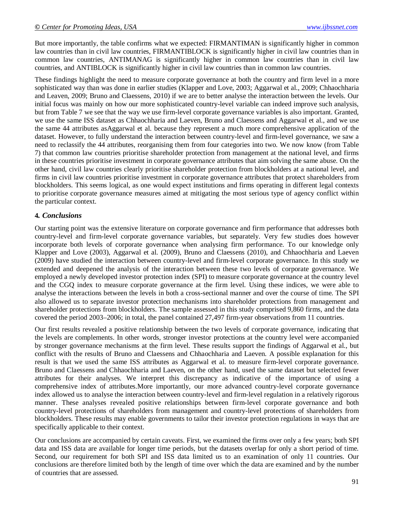But more importantly, the table confirms what we expected: FIRMANTIMAN is significantly higher in common law countries than in civil law countries, FIRMANTIBLOCK is significantly higher in civil law countries than in common law countries, ANTIMANAG is significantly higher in common law countries than in civil law countries, and ANTIBLOCK is significantly higher in civil law countries than in common law countries.

These findings highlight the need to measure corporate governance at both the country and firm level in a more sophisticated way than was done in earlier studies (Klapper and Love, 2003; Aggarwal et al., 2009; Chhaochharia and Leaven, 2009; Bruno and Claessens, 2010) if we are to better analyse the interaction between the levels. Our initial focus was mainly on how our more sophisticated country-level variable can indeed improve such analysis, but from Table 7 we see that the way we use firm-level corporate governance variables is also important. Granted, we use the same ISS dataset as Chhaochharia and Laeven, Bruno and Claessens and Aggarwal et al., and we use the same 44 attributes asAggarwal et al. because they represent a much more comprehensive application of the dataset. However, to fully understand the interaction between country-level and firm-level governance, we saw a need to reclassify the 44 attributes, reorganising them from four categories into two. We now know (from Table 7) that common law countries prioritise shareholder protection from management at the national level, and firms in these countries prioritise investment in corporate governance attributes that aim solving the same abuse. On the other hand, civil law countries clearly prioritise shareholder protection from blockholders at a national level, and firms in civil law countries prioritise investment in corporate governance attributes that protect shareholders from blockholders. This seems logical, as one would expect institutions and firms operating in different legal contexts to prioritise corporate governance measures aimed at mitigating the most serious type of agency conflict within the particular context.

## **4***. Conclusions*

Our starting point was the extensive literature on corporate governance and firm performance that addresses both country-level and firm-level corporate governance variables, but separately. Very few studies does however incorporate both levels of corporate governance when analysing firm performance. To our knowledge only Klapper and Love (2003), Aggarwal et al. (2009), Bruno and Claessens (2010), and Chhaochharia and Laeven (2009) have studied the interaction between country-level and firm-level corporate governance. In this study we extended and deepened the analysis of the interaction between these two levels of corporate governance. We employed a newly developed investor protection index (SPI) to measure corporate governance at the country level and the CGQ index to measure corporate governance at the firm level. Using these indices, we were able to analyse the interactions between the levels in both a cross-sectional manner and over the course of time. The SPI also allowed us to separate investor protection mechanisms into shareholder protections from management and shareholder protections from blockholders. The sample assessed in this study comprised 9,860 firms, and the data covered the period 2003–2006; in total, the panel contained 27,497 firm-year observations from 11 countries.

Our first results revealed a positive relationship between the two levels of corporate governance, indicating that the levels are complements. In other words, stronger investor protections at the country level were accompanied by stronger governance mechanisms at the firm level. These results support the findings of Aggarwal et al., but conflict with the results of Bruno and Claessens and Chhaochharia and Laeven. A possible explanation for this result is that we used the same ISS attributes as Aggarwal et al. to measure firm-level corporate governance. Bruno and Claessens and Chhaochharia and Laeven, on the other hand, used the same dataset but selected fewer attributes for their analyses. We interpret this discrepancy as indicative of the importance of using a comprehensive index of attributes.More importantly, our more advanced country-level corporate governance index allowed us to analyse the interaction between country-level and firm-level regulation in a relatively rigorous manner. These analyses revealed positive relationships between firm-level corporate governance and both country-level protections of shareholders from management and country-level protections of shareholders from blockholders. These results may enable governments to tailor their investor protection regulations in ways that are specifically applicable to their context.

Our conclusions are accompanied by certain caveats. First, we examined the firms over only a few years; both SPI data and ISS data are available for longer time periods, but the datasets overlap for only a short period of time. Second, our requirement for both SPI and ISS data limited us to an examination of only 11 countries. Our conclusions are therefore limited both by the length of time over which the data are examined and by the number of countries that are assessed.